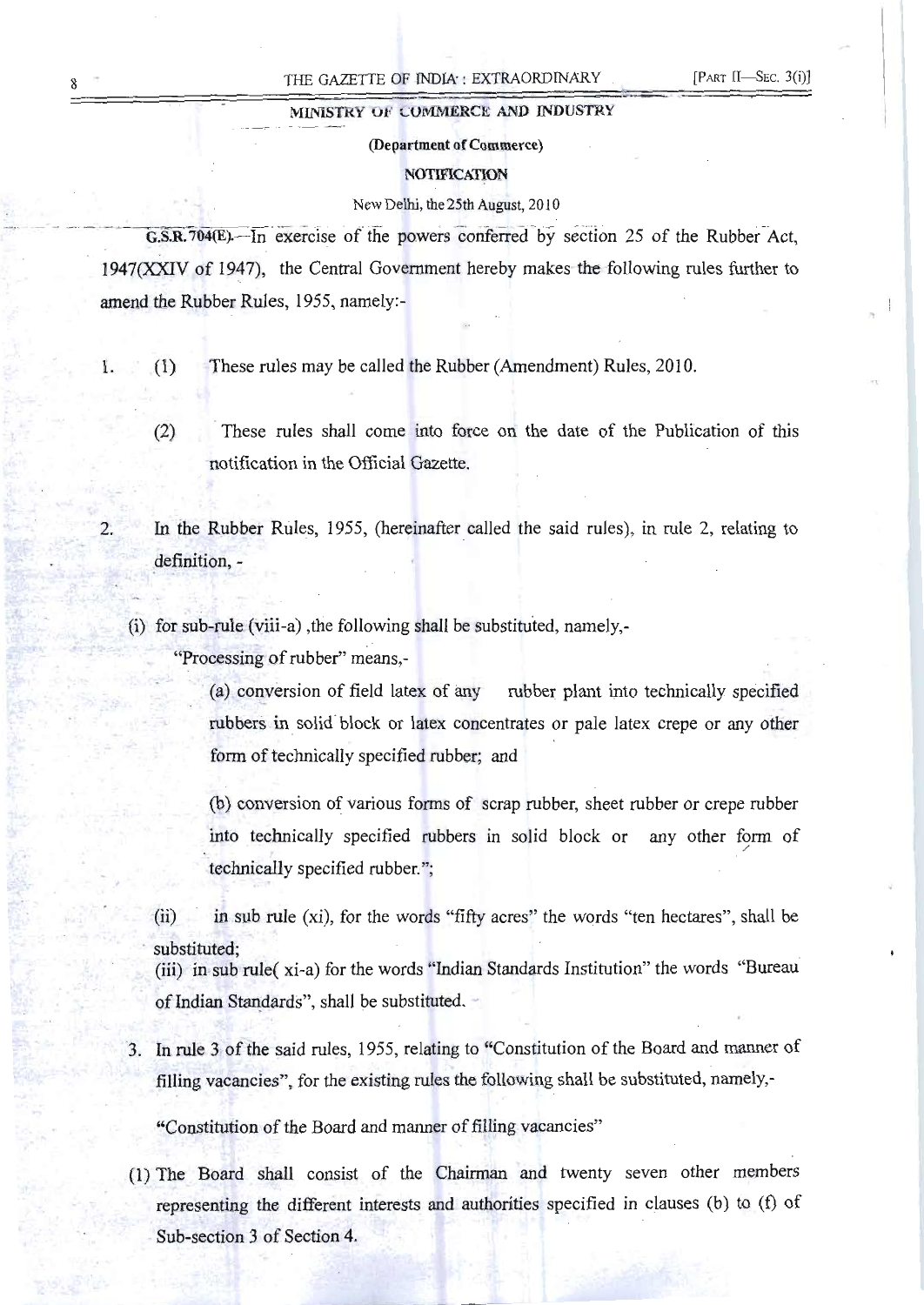# MINISTRY OF COMMERCE AND INDUSTRY

# (Department of Commerce)

#### **NOTIFICATION**

#### New Delhi, the 25th August, 2010

 $G.S.R.704(E)$ . In exercise of the powers conferred by section 25 of the Rubber-Act, 1947(XXIV of 1947), the Central Government hereby makes the following rules further to amend the Rubber Rules, 1955, namely:

- 1. (1) These rules may be called the Rubber (Amendment) Rules, 2010.
	- (2) These rules shall come into force on the date of the Publication of this notification in the Official Gazette.
- 2. In the Rubber Rules, 1955, (hereinafter called the said rules), in rule 2, relating to definition,
	- (i) for sub-rule (viii-a) ,the following shall be substituted, namely,

"Processing of rubber" means,

(a) conversion of field latex of any rubber plant into technically specified rubbers in solid-block or latex concentrates or pale latex crepe or any other form of technically specified rubber; and

(b) conversion of various fonns of scrap rubber, sheet rubber or crepe rubber into technically specified rubbers in solid block or any other form of technically specified rubber.";

(ii) in sub rule (xi), for the words "fifty acres" the words "ten hectares", shall be substituted;

(iii) in-sub rule( xi-a) for the words "Indian Standards Institution" the words "Bureau ofIndian Standards", shall be substituted.

3. In rule 3 of the said rules, 1955, relating to "Constitution of the Board and manner of filling vacancies", for the existing rules the following shall be substituted, namely,

"Constitution of the Board and manner of filling vacancies"

(1) The Board shall consist of the Chairman and twenty seven other members representing the different interests and authorities specified in clauses (b) to (f) of Sub-section 3 of Section 4.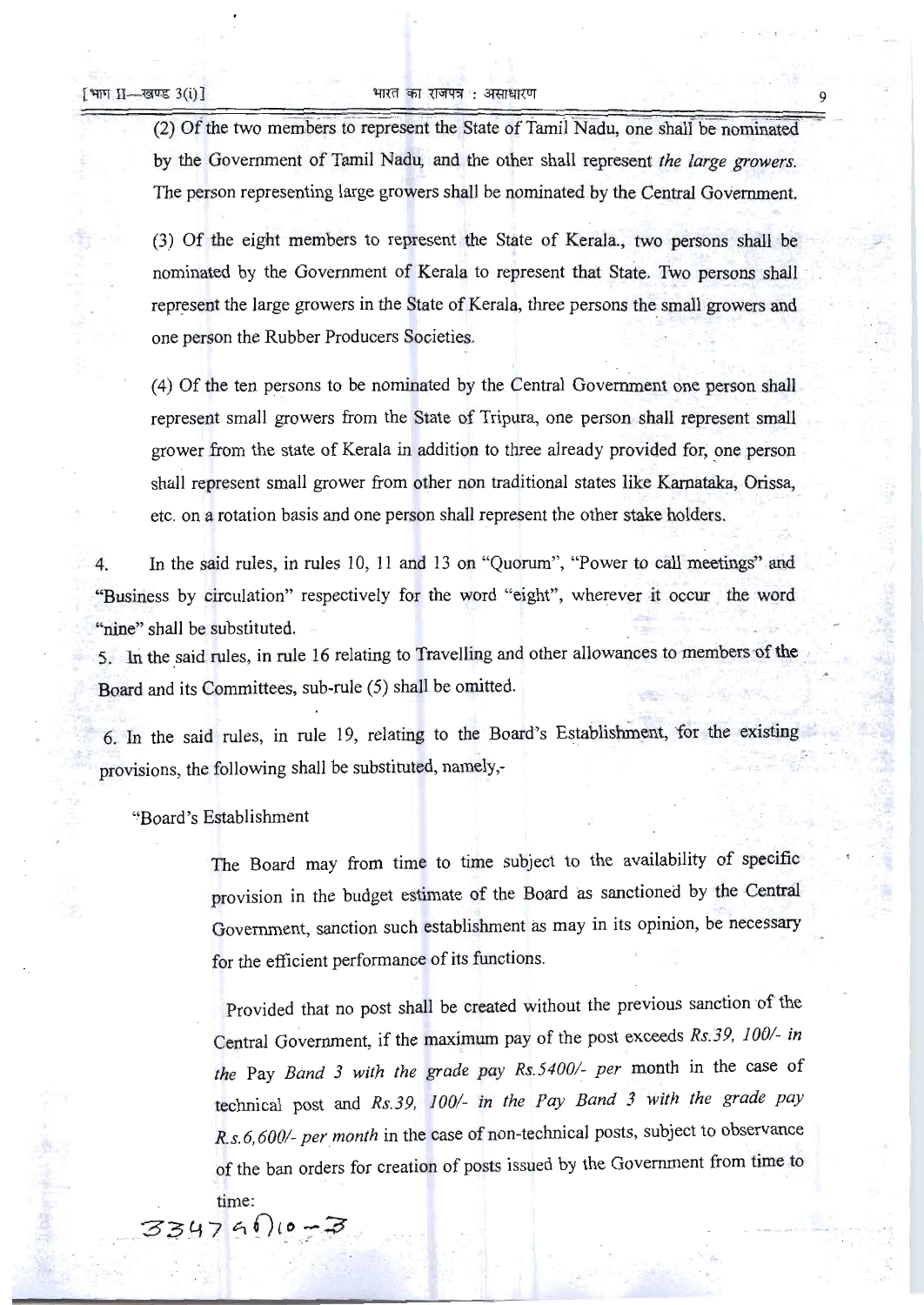#### [भाग II— खण्ड 3(i)]  $\blacksquare$  भारत का राजपत्र: असाधारण

(2) Of the two members to represent the State of Tamil Nadu, one shall be nominated by the Government of Tamil Nadu, and the other shall represent *the large growers.*  The person representing large growers shall be nominated by the Central Government.

(3) Of the eight members to represent the State of Kerala., two persons shall be nominated by the Government of Kerala to represent that State. Two persons shall . represent the large growers in the State of Kerala, three persons the small growers and one person the Rubber Producers Societies.

(4) Of the ten persons to be nominated by the Central Government one person shall represent small growers from the State of Tripura, one person shall represent small grower from the state of Kerala in addition to three already provided for, one person shall represent small grower from other non traditional states like Karnataka, Orissa, etc. on a rotation basis and one person shall represent the other stake holders.

4. In the said rules, in rules 10, 11 and 13 on "Quorum", "Power to call meetings" and "Business by circulation" respectively for the word "eight", wherever it occur the word "nine" shall be substituted.

5. In the said rules, in rule 16 relating to Travelling and other allowances to members of the Board and its Committees, sub-rule (5) shall be omitted.

6. In the said rules, in rule 19, relating to the Board's Establishment, for the existing provisions, the following shall be substituted, namely,

"Board's Establishment

The Board may from time to time subject to the availability of specific provision in the budget estimate of the Board as sanctioned by the Central Government, sanction such establishment as may in its opinion, be necessary for the efficient performance of its functions.

Provided that no post shall be created without the previous sanction of the Central Government, if the maximum pay of the post exceeds *Rs.3*9, *1001- in the* Pay *Band* 3 *with the grade pay Rs.5400/- per* month in the case of technical post and *Rs.39, 100/- in the Pay Band* 3 *with the grade pay R. s. 6,6001- per month* in the case of non-technical posts, subject to observance of the ban orders for creation of posts issued by the Government from time to time:

..

 $334790 - 3$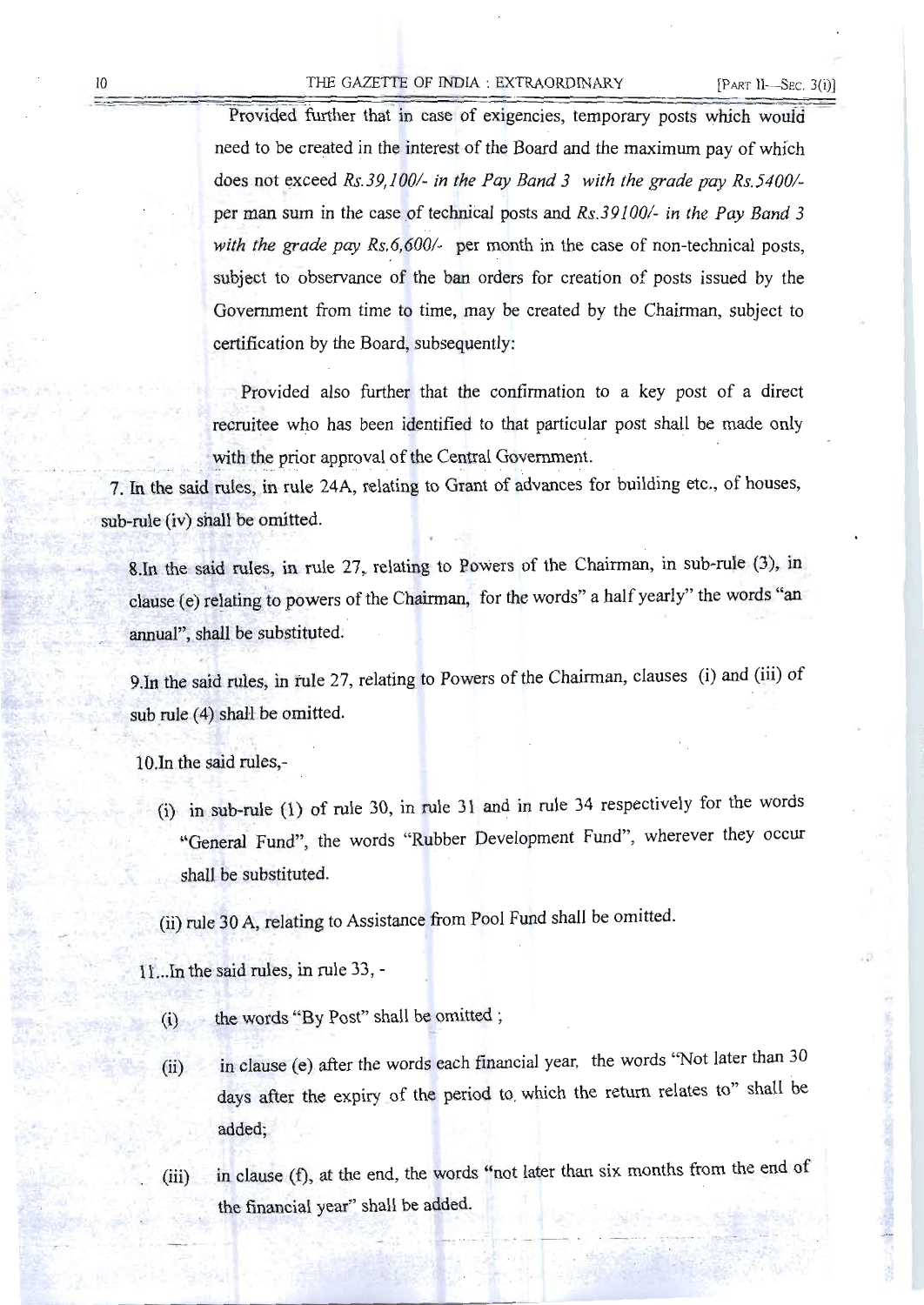# 10 THE GAZETTE OF INDIA : EXTRAORDINARY [PART II-SEC. 3(i)]

Provided further that in case of exigencies, temporary posts which would need to be created in the interest of the Board and the maximum pay of which does not exceed *Rs.39,100/-* in the Pay Band 3 with the grade pay Rs.5400/per man sum in the case of technical posts and *Rs.391001- in the Pay Band 3 with the grade pay Rs.6,600/-* per month in the case of non-technical posts, subject to observance of the ban orders for creation of posts issued by the Government from time to time, may be created by the Chairman, subject to certification by the Board, subsequently:

Provided also further that the confirmation to a key post of a direct recruitee who has been identified to that particular post shall be made only with the prior approval of the Central Government.

7. In the said rules, in rule 24A, relating to Grant of advances for building etc., of houses, sub-rule (iv) shall be omitted.

8.In the said rules, in rule 27, relating to Powers of the Chairman, in sub-rule (3), in clause (e) relating to powers of the Chairman, for the words" a half yearly" the words "an annual", shall be substituted.

9. In the said rules, in rule 27, relating to Powers of the Chairman, clauses (i) and (iii) of sub rule (4) shall be omitted.

10.In the said rules,

(i) in sub-rule (1) of rule 30, in rule 31 and in rule 34 respectively for the words "General Fund", the words "Rubber Development Fund", wherever they occur shall be substituted.

(ii) rule 30 A, relating to Assistance from Pool Fund shall be omitted.

11...In the said rules, in rule 33,

- (i) the words "By Post" shall be omitted;
- (ii) in clause (e) after the words each financial year, the words "Not later than 30 days after the expiry of the period to. which the return relates to" shall be added;
- (iii) in clause (f), at the end, the words "not later than six months from the end of the financial year" shall be added.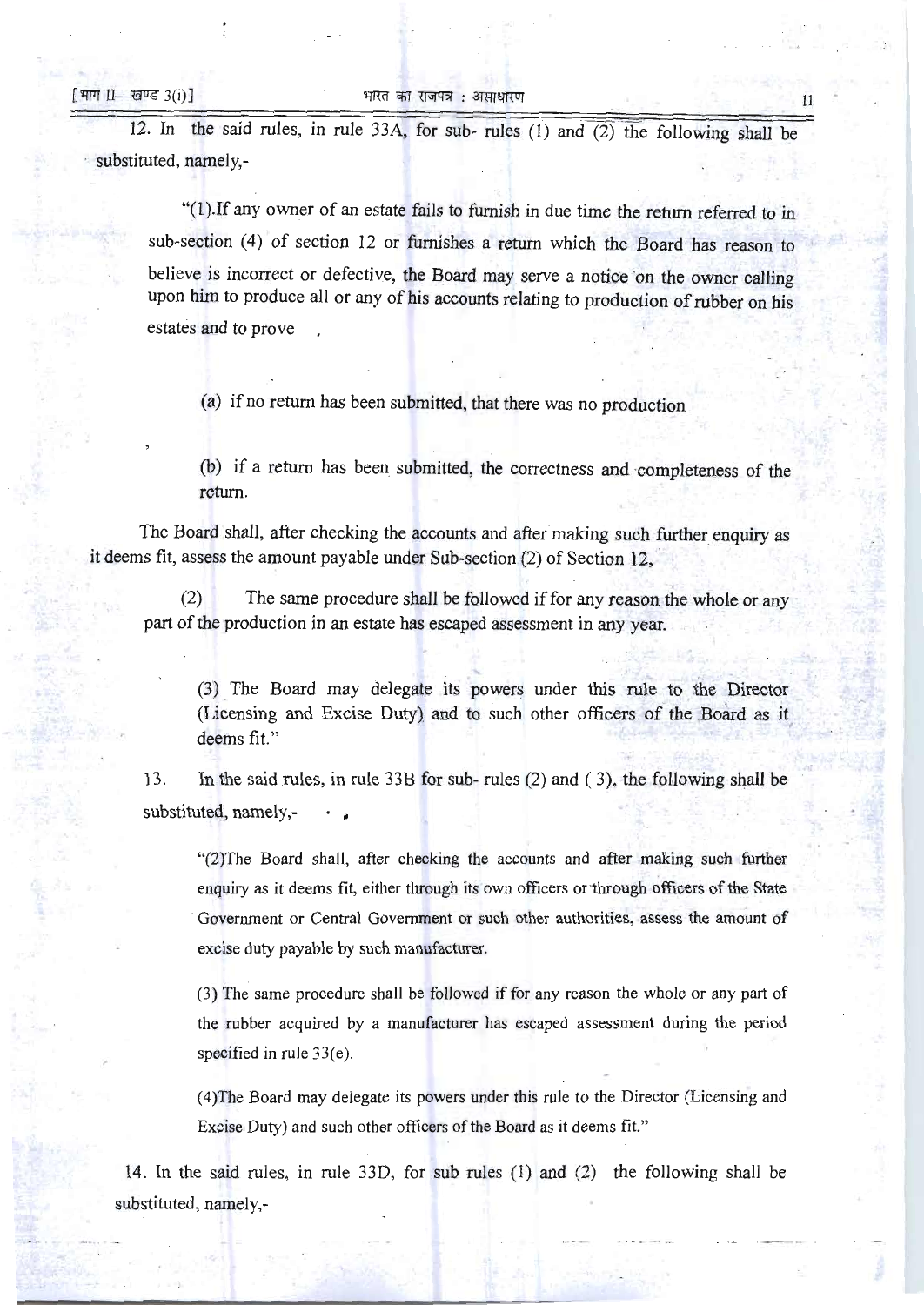12. In the said rules, in rule 33A, for sub- rules (1) and (2) the following shall be substituted, namely,

"(l).If any owner of an estate fails to furnish in due time the return referred to in sub-section (4) of section 12 or furnishes a return which the Board has reason to believe is incorrect or defective, the Board may serve a notice on the owner calling upon him to produce all or any of his accounts relating to production of rubber on his estates and to prove

(a) if no return has been submitted, that there was no production

(b) if a return has been submitted, the correctness and 'completeness of the return.

The Board shall, after checking the accounts and after making such further enquiry as it deems fit, assess the amount payable under Sub-section (2) of Section 12.

(2) The same procedure shall be followed if for any reason the whole or any part of the production in an estate has escaped assessment in any year.

(3) The Board may delegate its powers under this rule to the Director (Licensing and Excise Duty) and to such other officers of the Board as it deems fit."

13. In the said rules, in rule 33B for sub- rules (2) and ( 3), the following shall be substituted, namely,-

"(2)The Board shall, after checking the accounts and after making such further enquiry as it deems fit, either through its own officers or "through officers of the State . Government or Central Government or such other authorities, assess the amount of excise duty payable by such manufacturer.

(3) The same procedure shall be followed if for any reason the whole or any part of the rubber acquired by a manufacturer has escaped assessment during the period specified in rule 33(e).

(4)The Board may delegate its powers under this rule to the Director (Licensing and Excise Duty) and such other officers of the Board as it deems fit."

14. In the said rules, in rule 33D, for sub rules (l) and (2) the following shall be substituted, namely,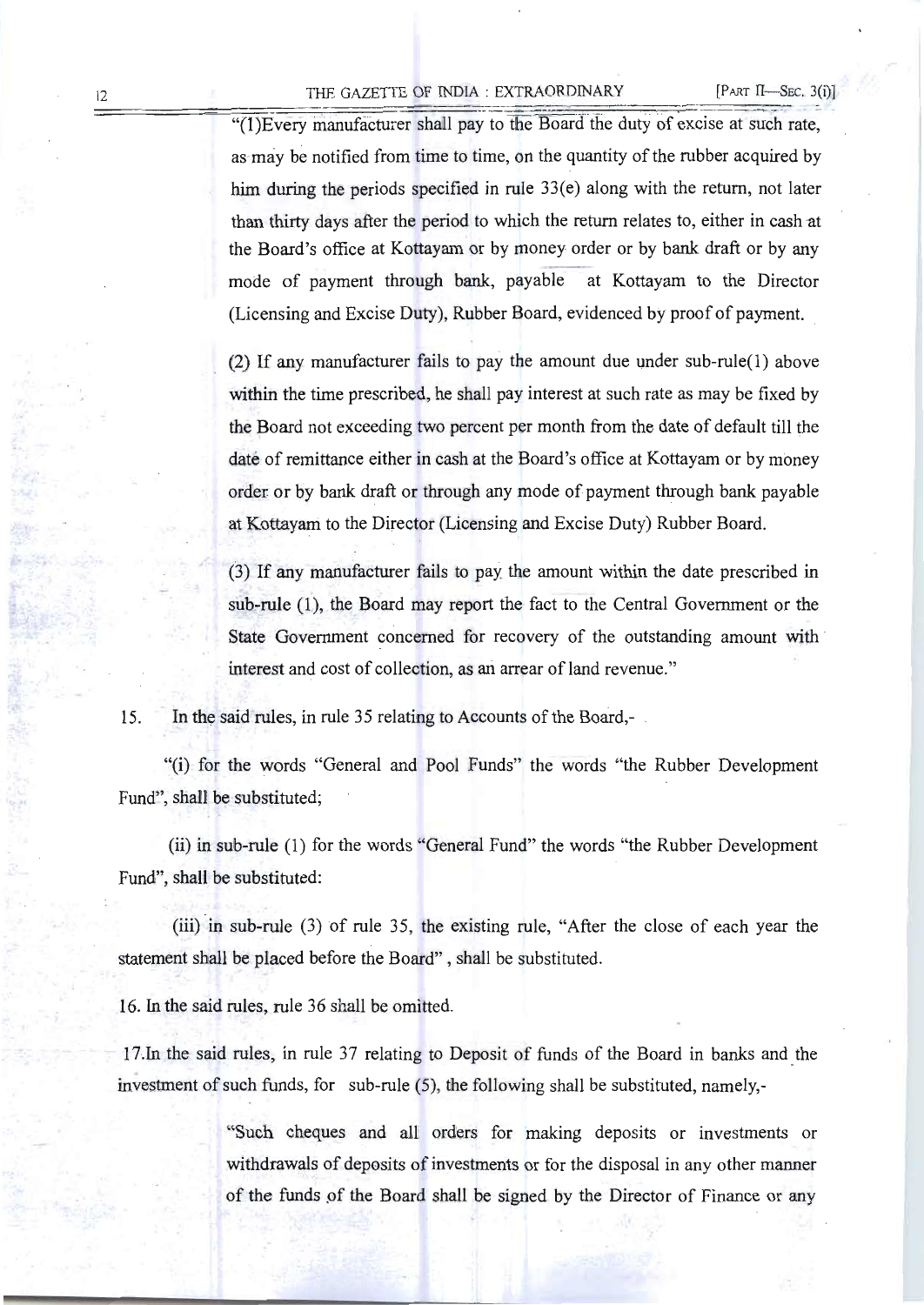### 12 THE GAZETTE OF INDIA : EXTRAORDINARY [PART II-SEC. 3(i)]

 $!(1)$ Every manufacturer shall pay to the Board the duty of excise at such rate, as may be notified from time to time, on the quantity of the rubber acquired by him during the periods specified in rule 33(e) along with the return, not later than thirty days after the period to which the return relates to, either in cash at the Board's office at Kottayam or by money order or by bank draft or by any mode of payment through bank, payable at Kottayam to the Director (Licensing and Excise Duty), Rubber Board, evidenced by proof of payment.

(2) If any manufacturer fails to pay the amount due under sub-rule(1) above within the time prescribed, he shall pay interest at such rate as may be fixed by the Board not exceeding two percent per month from the date of default till the date of remittance either in cash at the Board's office at Kottayam or by money order or by bank draft or through any mode of payment through bank payable at Kottayam to the Director (Licensing and Excise Duty) Rubber Board.

(3) If any manufacturer fails to pay: the amount within the date prescribed in sub-rule (1), the Board may report the fact to the Central Government or the State Government concerned for recovery of the outstanding amount with interest and cost of collection, as an arrear of land revenue."

15. In the said rules, in rule 35 relating to Accounts of the Board,

"(i) for the words "General and Pool Funds" the words "the Rubber Development Fund", shall be substituted;

(ii) in sub-rule (1) for the words "General Fund" the words "the Rubber Development Fund", shall be substituted:

(iii) in sub-rule (3) of rule 35, the existing rule, "After the close of each year the statement shall be placed before the Board" , shall be substituted.

16. In the said rules, rule 36 shall be omitted.

17. In the said rules, in rule 37 relating to Deposit of funds of the Board in banks and the investment of such funds, for sub-rule (5), the following shall be substituted, namely,

> "Such cheques and all orders for making deposits or investments or withdrawals of deposits of investments or for the disposal in any other manner of the funds of the Board shall be signed by the Director of Finance or any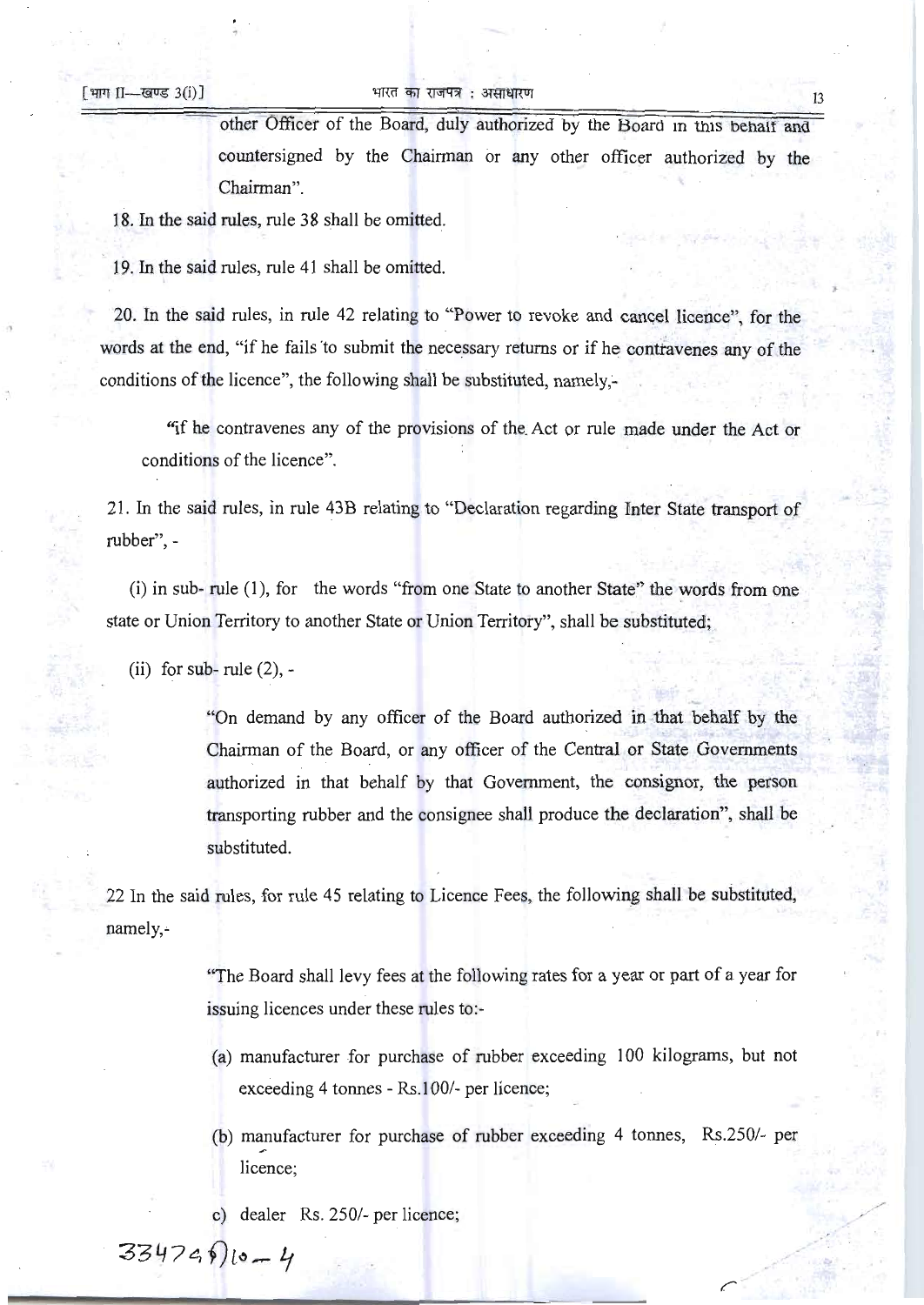# [भाग II---खण्ड 3(i)] का अनारत का राजपत्र : असाधारण

other Officer of the Board, duly authorized by the Board in this behalf and countersigned by the Chairman or any other officer authorized by the Chairman".

18. In the said rules, rule 38 shall be omitted.

19. In the said rules, rule 41 shall be omitted.

20. In the said rules, in rule 42 relating to "Power to revoke and cancel licence", for the words at the end, "if he fails to submit the necessary returns or if he contravenes any of the conditions of the licence", the following shall be substituted, namely;

"if he contravenes any of the provisions of the. Act or rule made under the Act or conditions of the licence".

21. In the said rules, in rule 43B relating to "Declaration regarding Inter State transport of rubber",

(i) in sub- rule (1), for the words "from one State to another State" the words from one state or Union Territory to another State or Union Territory", shall be substituted;

(ii) for sub-rule  $(2)$ , -

"On demand by any officer of the Board authorized in that behalf by the Chairman of the Board, or any officer of the Central or State Governments . authorized in that behalf by that Government, the consignor, the person transporting rubber and the consignee shall produce the declaration", shall be substituted.

22 In the said rules, for rule 45 relating to Licence Fees, the following shall be substituted, namely,~

> "The Board shall levy fees at the following rates for a year or part of a year for issuing licences under these rules to:

- (a) manufacturer for purchase of rubber exceeding 100 kilograms, but not exceeding 4 tonnes - Rs.100/- per licence;
- (b) manufacturer for purchase of rubber exceeding  $4$  tonnes, Rs.250/- per licence;

c) dealer Rs. 250/- per licence;

 $33474910 - 4$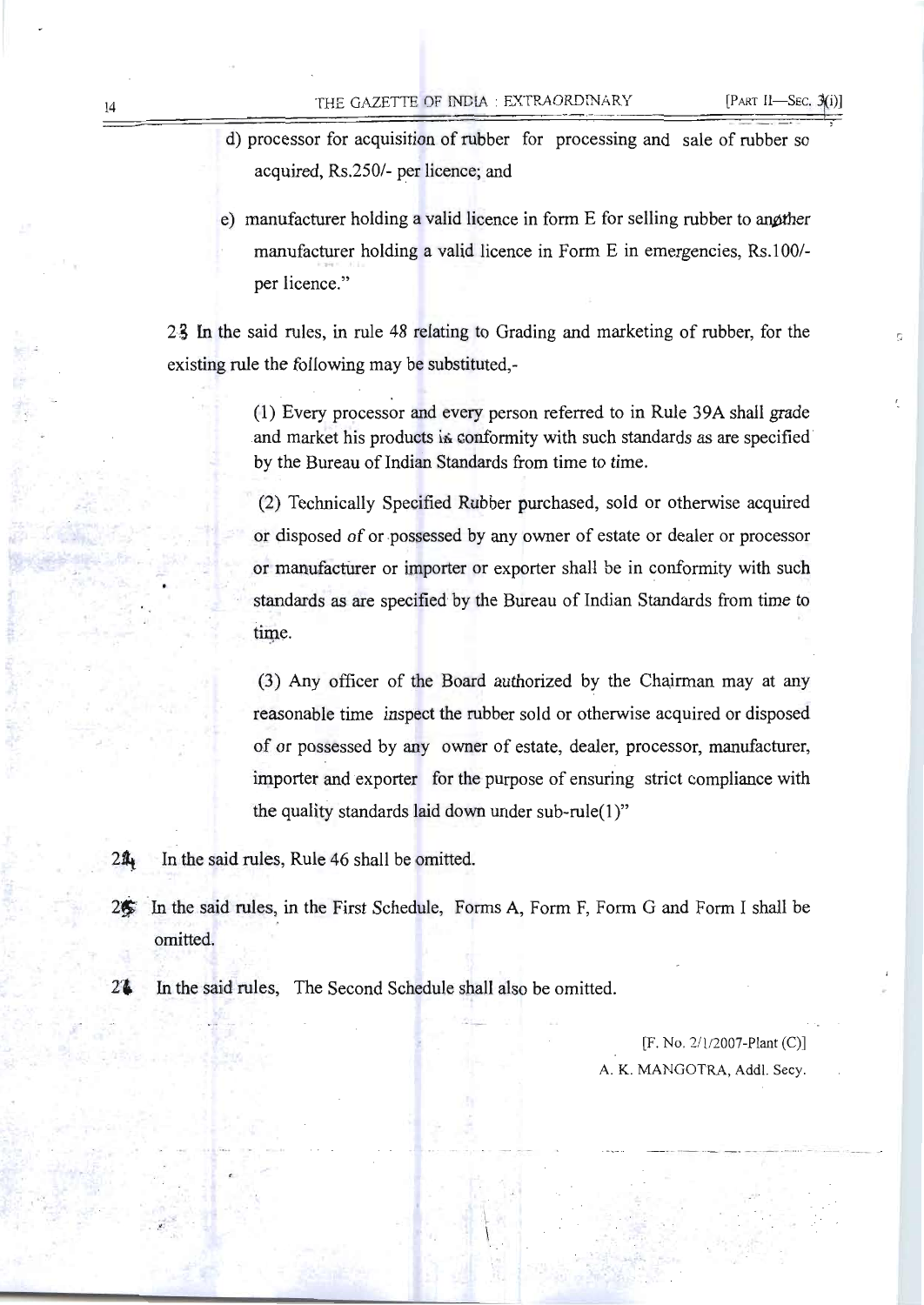- d) processor for acquisition of rubber for processing and sale of rubber so acquired, Rs.250/- per licence; and
- e) manufacturer holding a valid licence in form  $E$  for selling rubber to angither manufacturer holding a valid licence in Form E in emergencies, Rs.100/per licence."

2g In the said rules, in rule 48 relating to Grading and marketing of rubber, for the existing rule the following may be substituted,

> (1) Every processor and every person referred to in Rule 39A shall grade and market his products is conformity with such standards as are specified by the Bureau of Indian Standards from time to time.

> (2) Technically Specified Rubber purchased, sold or otherwise acquired or disposed of or -possessed by any owner of estate or dealer or processor or manufacturer or importer or exporter shall be in conformity with such standards as are specified by the Bureau of Indian Standards from time to time.

> (3) Any officer of the Board authorized by the Chairman may at any reasonable time inspect the rubber sold or otherwise acquired or disposed of or possessed by any owner of estate, dealer, processor, manufacturer, importer and exporter for the purpose of ensuring strict compliance with the quality standards laid down under sub-rule $(1)$ "

 $2\frac{4}{10}$  In the said rules, Rule 46 shall be omitted.

- 2 $\frac{2}{5}$  In the said rules, in the First Schedule, Forms A, Form F, Form G and Form I shall be omitted.
- 2<sup>4</sup> In the said rules, The Second Schedule shall also be omitted.

[F. No. *2/1/2007-Plant* (C)] A. K. MANGOTRA, Add!. Secy.